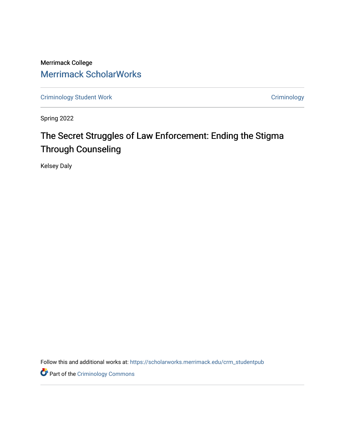Merrimack College [Merrimack ScholarWorks](https://scholarworks.merrimack.edu/) 

[Criminology Student Work](https://scholarworks.merrimack.edu/crm_studentpub) **Criminology** Criminology

Spring 2022

# The Secret Struggles of Law Enforcement: Ending the Stigma Through Counseling

Kelsey Daly

Follow this and additional works at: [https://scholarworks.merrimack.edu/crm\\_studentpub](https://scholarworks.merrimack.edu/crm_studentpub?utm_source=scholarworks.merrimack.edu%2Fcrm_studentpub%2F41&utm_medium=PDF&utm_campaign=PDFCoverPages) 

**Part of the Criminology Commons**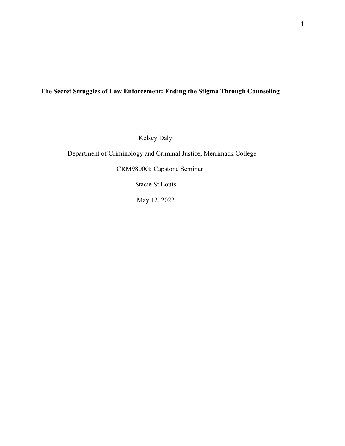# **The Secret Struggles of Law Enforcement: Ending the Stigma Through Counseling**

Kelsey Daly

Department of Criminology and Criminal Justice, Merrimack College

CRM9800G: Capstone Seminar

Stacie St.Louis

May 12, 2022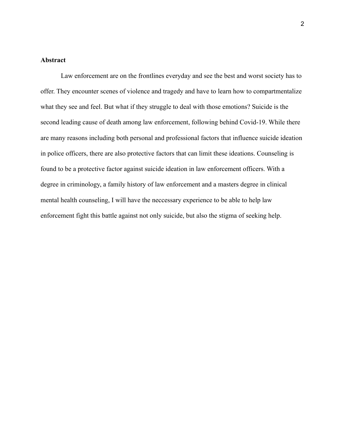# **Abstract**

Law enforcement are on the frontlines everyday and see the best and worst society has to offer. They encounter scenes of violence and tragedy and have to learn how to compartmentalize what they see and feel. But what if they struggle to deal with those emotions? Suicide is the second leading cause of death among law enforcement, following behind Covid-19. While there are many reasons including both personal and professional factors that influence suicide ideation in police officers, there are also protective factors that can limit these ideations. Counseling is found to be a protective factor against suicide ideation in law enforcement officers. With a degree in criminology, a family history of law enforcement and a masters degree in clinical mental health counseling, I will have the neccessary experience to be able to help law enforcement fight this battle against not only suicide, but also the stigma of seeking help.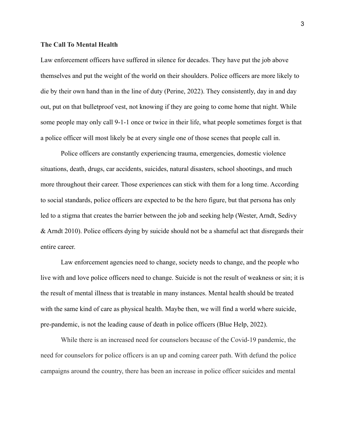#### **The Call To Mental Health**

Law enforcement officers have suffered in silence for decades. They have put the job above themselves and put the weight of the world on their shoulders. Police officers are more likely to die by their own hand than in the line of duty (Perine, 2022). They consistently, day in and day out, put on that bulletproof vest, not knowing if they are going to come home that night. While some people may only call 9-1-1 once or twice in their life, what people sometimes forget is that a police officer will most likely be at every single one of those scenes that people call in.

Police officers are constantly experiencing trauma, emergencies, domestic violence situations, death, drugs, car accidents, suicides, natural disasters, school shootings, and much more throughout their career. Those experiences can stick with them for a long time. According to social standards, police officers are expected to be the hero figure, but that persona has only led to a stigma that creates the barrier between the job and seeking help (Wester, Arndt, Sedivy & Arndt 2010). Police officers dying by suicide should not be a shameful act that disregards their entire career.

Law enforcement agencies need to change, society needs to change, and the people who live with and love police officers need to change. Suicide is not the result of weakness or sin; it is the result of mental illness that is treatable in many instances. Mental health should be treated with the same kind of care as physical health. Maybe then, we will find a world where suicide, pre-pandemic, is not the leading cause of death in police officers (Blue Help, 2022).

While there is an increased need for counselors because of the Covid-19 pandemic, the need for counselors for police officers is an up and coming career path. With defund the police campaigns around the country, there has been an increase in police officer suicides and mental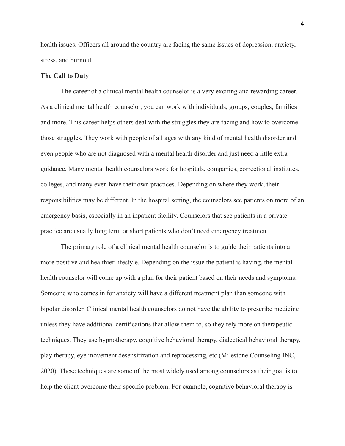health issues. Officers all around the country are facing the same issues of depression, anxiety, stress, and burnout.

# **The Call to Duty**

The career of a clinical mental health counselor is a very exciting and rewarding career. As a clinical mental health counselor, you can work with individuals, groups, couples, families and more. This career helps others deal with the struggles they are facing and how to overcome those struggles. They work with people of all ages with any kind of mental health disorder and even people who are not diagnosed with a mental health disorder and just need a little extra guidance. Many mental health counselors work for hospitals, companies, correctional institutes, colleges, and many even have their own practices. Depending on where they work, their responsibilities may be different. In the hospital setting, the counselors see patients on more of an emergency basis, especially in an inpatient facility. Counselors that see patients in a private practice are usually long term or short patients who don't need emergency treatment.

The primary role of a clinical mental health counselor is to guide their patients into a more positive and healthier lifestyle. Depending on the issue the patient is having, the mental health counselor will come up with a plan for their patient based on their needs and symptoms. Someone who comes in for anxiety will have a different treatment plan than someone with bipolar disorder. Clinical mental health counselors do not have the ability to prescribe medicine unless they have additional certifications that allow them to, so they rely more on therapeutic techniques. They use hypnotherapy, cognitive behavioral therapy, dialectical behavioral therapy, play therapy, eye movement desensitization and reprocessing, etc (Milestone Counseling INC, 2020). These techniques are some of the most widely used among counselors as their goal is to help the client overcome their specific problem. For example, cognitive behavioral therapy is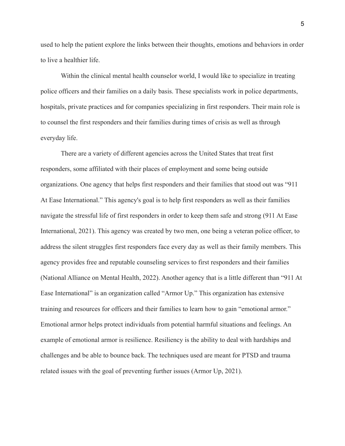used to help the patient explore the links between their thoughts, emotions and behaviors in order to live a healthier life.

Within the clinical mental health counselor world, I would like to specialize in treating police officers and their families on a daily basis. These specialists work in police departments, hospitals, private practices and for companies specializing in first responders. Their main role is to counsel the first responders and their families during times of crisis as well as through everyday life.

There are a variety of different agencies across the United States that treat first responders, some affiliated with their places of employment and some being outside organizations. One agency that helps first responders and their families that stood out was "911 At Ease International." This agency's goal is to help first responders as well as their families navigate the stressful life of first responders in order to keep them safe and strong (911 At Ease International, 2021). This agency was created by two men, one being a veteran police officer, to address the silent struggles first responders face every day as well as their family members. This agency provides free and reputable counseling services to first responders and their families (National Alliance on Mental Health, 2022). Another agency that is a little different than "911 At Ease International" is an organization called "Armor Up." This organization has extensive training and resources for officers and their families to learn how to gain "emotional armor." Emotional armor helps protect individuals from potential harmful situations and feelings. An example of emotional armor is resilience. Resiliency is the ability to deal with hardships and challenges and be able to bounce back. The techniques used are meant for PTSD and trauma related issues with the goal of preventing further issues (Armor Up, 2021).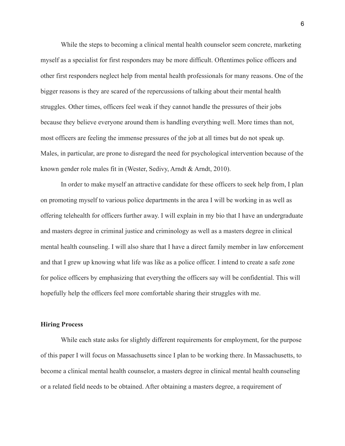While the steps to becoming a clinical mental health counselor seem concrete, marketing myself as a specialist for first responders may be more difficult. Oftentimes police officers and other first responders neglect help from mental health professionals for many reasons. One of the bigger reasons is they are scared of the repercussions of talking about their mental health struggles. Other times, officers feel weak if they cannot handle the pressures of their jobs because they believe everyone around them is handling everything well. More times than not, most officers are feeling the immense pressures of the job at all times but do not speak up. Males, in particular, are prone to disregard the need for psychological intervention because of the known gender role males fit in (Wester, Sedivy, Arndt & Arndt, 2010).

In order to make myself an attractive candidate for these officers to seek help from, I plan on promoting myself to various police departments in the area I will be working in as well as offering telehealth for officers further away. I will explain in my bio that I have an undergraduate and masters degree in criminal justice and criminology as well as a masters degree in clinical mental health counseling. I will also share that I have a direct family member in law enforcement and that I grew up knowing what life was like as a police officer. I intend to create a safe zone for police officers by emphasizing that everything the officers say will be confidential. This will hopefully help the officers feel more comfortable sharing their struggles with me.

#### **Hiring Process**

While each state asks for slightly different requirements for employment, for the purpose of this paper I will focus on Massachusetts since I plan to be working there. In Massachusetts, to become a clinical mental health counselor, a masters degree in clinical mental health counseling or a related field needs to be obtained. After obtaining a masters degree, a requirement of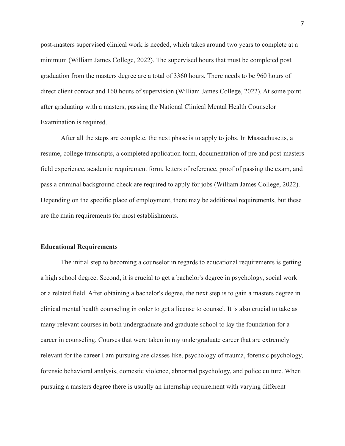post-masters supervised clinical work is needed, which takes around two years to complete at a minimum (William James College, 2022). The supervised hours that must be completed post graduation from the masters degree are a total of 3360 hours. There needs to be 960 hours of direct client contact and 160 hours of supervision (William James College, 2022). At some point after graduating with a masters, passing the National Clinical Mental Health Counselor Examination is required.

After all the steps are complete, the next phase is to apply to jobs. In Massachusetts, a resume, college transcripts, a completed application form, documentation of pre and post-masters field experience, academic requirement form, letters of reference, proof of passing the exam, and pass a criminal background check are required to apply for jobs (William James College, 2022). Depending on the specific place of employment, there may be additional requirements, but these are the main requirements for most establishments.

#### **Educational Requirements**

The initial step to becoming a counselor in regards to educational requirements is getting a high school degree. Second, it is crucial to get a bachelor's degree in psychology, social work or a related field. After obtaining a bachelor's degree, the next step is to gain a masters degree in clinical mental health counseling in order to get a license to counsel. It is also crucial to take as many relevant courses in both undergraduate and graduate school to lay the foundation for a career in counseling. Courses that were taken in my undergraduate career that are extremely relevant for the career I am pursuing are classes like, psychology of trauma, forensic psychology, forensic behavioral analysis, domestic violence, abnormal psychology, and police culture. When pursuing a masters degree there is usually an internship requirement with varying different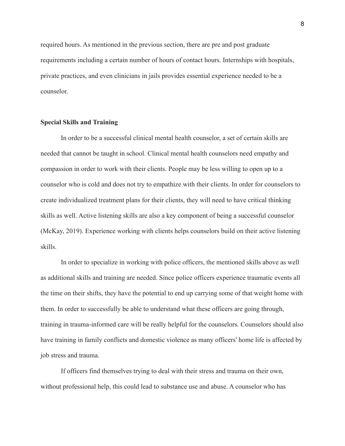required hours. As mentioned in the previous section, there are pre and post graduate requirements including a certain number of hours of contact hours. Internships with hospitals, private practices, and even clinicians in jails provides essential experience needed to be a counselor.

# **Special Skills and Training**

In order to be a successful clinical mental health counselor, a set of certain skills are needed that cannot be taught in school. Clinical mental health counselors need empathy and compassion in order to work with their clients. People may be less willing to open up to a counselor who is cold and does not try to empathize with their clients. In order for counselors to create individualized treatment plans for their clients, they will need to have critical thinking skills as well. Active listening skills are also a key component of being a successful counselor (McKay, 2019). Experience working with clients helps counselors build on their active listening skills.

In order to specialize in working with police officers, the mentioned skills above as well as additional skills and training are needed. Since police officers experience traumatic events all the time on their shifts, they have the potential to end up carrying some of that weight home with them. In order to successfully be able to understand what these officers are going through, training in trauma-informed care will be really helpful for the counselors. Counselors should also have training in family conflicts and domestic violence as many officers' home life is affected by job stress and trauma.

If officers find themselves trying to deal with their stress and trauma on their own, without professional help, this could lead to substance use and abuse. A counselor who has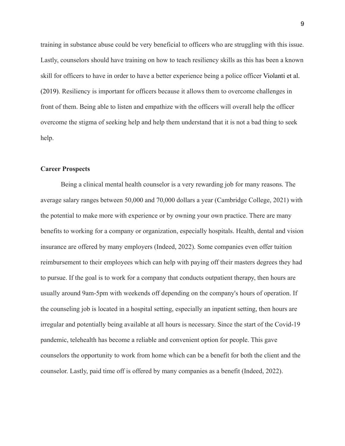training in substance abuse could be very beneficial to officers who are struggling with this issue. Lastly, counselors should have training on how to teach resiliency skills as this has been a known skill for officers to have in order to have a better experience being a police officer Violanti et al. (2019). Resiliency is important for officers because it allows them to overcome challenges in front of them. Being able to listen and empathize with the officers will overall help the officer overcome the stigma of seeking help and help them understand that it is not a bad thing to seek help.

### **Career Prospects**

Being a clinical mental health counselor is a very rewarding job for many reasons. The average salary ranges between 50,000 and 70,000 dollars a year (Cambridge College, 2021) with the potential to make more with experience or by owning your own practice. There are many benefits to working for a company or organization, especially hospitals. Health, dental and vision insurance are offered by many employers (Indeed, 2022). Some companies even offer tuition reimbursement to their employees which can help with paying off their masters degrees they had to pursue. If the goal is to work for a company that conducts outpatient therapy, then hours are usually around 9am-5pm with weekends off depending on the company's hours of operation. If the counseling job is located in a hospital setting, especially an inpatient setting, then hours are irregular and potentially being available at all hours is necessary. Since the start of the Covid-19 pandemic, telehealth has become a reliable and convenient option for people. This gave counselors the opportunity to work from home which can be a benefit for both the client and the counselor. Lastly, paid time off is offered by many companies as a benefit (Indeed, 2022).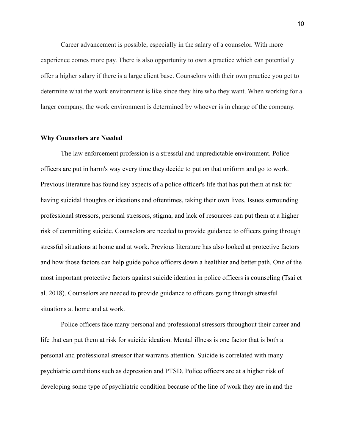Career advancement is possible, especially in the salary of a counselor. With more experience comes more pay. There is also opportunity to own a practice which can potentially offer a higher salary if there is a large client base. Counselors with their own practice you get to determine what the work environment is like since they hire who they want. When working for a larger company, the work environment is determined by whoever is in charge of the company.

#### **Why Counselors are Needed**

The law enforcement profession is a stressful and unpredictable environment. Police officers are put in harm's way every time they decide to put on that uniform and go to work. Previous literature has found key aspects of a police officer's life that has put them at risk for having suicidal thoughts or ideations and oftentimes, taking their own lives. Issues surrounding professional stressors, personal stressors, stigma, and lack of resources can put them at a higher risk of committing suicide. Counselors are needed to provide guidance to officers going through stressful situations at home and at work. Previous literature has also looked at protective factors and how those factors can help guide police officers down a healthier and better path. One of the most important protective factors against suicide ideation in police officers is counseling (Tsai et al. 2018). Counselors are needed to provide guidance to officers going through stressful situations at home and at work.

Police officers face many personal and professional stressors throughout their career and life that can put them at risk for suicide ideation. Mental illness is one factor that is both a personal and professional stressor that warrants attention. Suicide is correlated with many psychiatric conditions such as depression and PTSD. Police officers are at a higher risk of developing some type of psychiatric condition because of the line of work they are in and the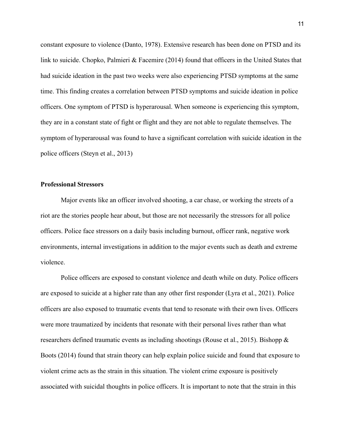constant exposure to violence (Danto, 1978). Extensive research has been done on PTSD and its link to suicide. Chopko, Palmieri & Facemire (2014) found that officers in the United States that had suicide ideation in the past two weeks were also experiencing PTSD symptoms at the same time. This finding creates a correlation between PTSD symptoms and suicide ideation in police officers. One symptom of PTSD is hyperarousal. When someone is experiencing this symptom, they are in a constant state of fight or flight and they are not able to regulate themselves. The symptom of hyperarousal was found to have a significant correlation with suicide ideation in the police officers (Steyn et al., 2013)

# **Professional Stressors**

Major events like an officer involved shooting, a car chase, or working the streets of a riot are the stories people hear about, but those are not necessarily the stressors for all police officers. Police face stressors on a daily basis including burnout, officer rank, negative work environments, internal investigations in addition to the major events such as death and extreme violence.

Police officers are exposed to constant violence and death while on duty. Police officers are exposed to suicide at a higher rate than any other first responder (Lyra et al., 2021). Police officers are also exposed to traumatic events that tend to resonate with their own lives. Officers were more traumatized by incidents that resonate with their personal lives rather than what researchers defined traumatic events as including shootings (Rouse et al., 2015). Bishopp & Boots (2014) found that strain theory can help explain police suicide and found that exposure to violent crime acts as the strain in this situation. The violent crime exposure is positively associated with suicidal thoughts in police officers. It is important to note that the strain in this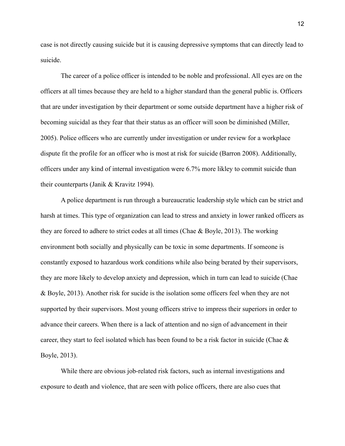case is not directly causing suicide but it is causing depressive symptoms that can directly lead to suicide.

The career of a police officer is intended to be noble and professional. All eyes are on the officers at all times because they are held to a higher standard than the general public is. Officers that are under investigation by their department or some outside department have a higher risk of becoming suicidal as they fear that their status as an officer will soon be diminished (Miller, 2005). Police officers who are currently under investigation or under review for a workplace dispute fit the profile for an officer who is most at risk for suicide (Barron 2008). Additionally, officers under any kind of internal investigation were 6.7% more likley to commit suicide than their counterparts (Janik & Kravitz 1994).

A police department is run through a bureaucratic leadership style which can be strict and harsh at times. This type of organization can lead to stress and anxiety in lower ranked officers as they are forced to adhere to strict codes at all times (Chae & Boyle, 2013). The working environment both socially and physically can be toxic in some departments. If someone is constantly exposed to hazardous work conditions while also being berated by their supervisors, they are more likely to develop anxiety and depression, which in turn can lead to suicide (Chae & Boyle, 2013). Another risk for sucide is the isolation some officers feel when they are not supported by their supervisors. Most young officers strive to impress their superiors in order to advance their careers. When there is a lack of attention and no sign of advancement in their career, they start to feel isolated which has been found to be a risk factor in suicide (Chae & Boyle, 2013).

While there are obvious job-related risk factors, such as internal investigations and exposure to death and violence, that are seen with police officers, there are also cues that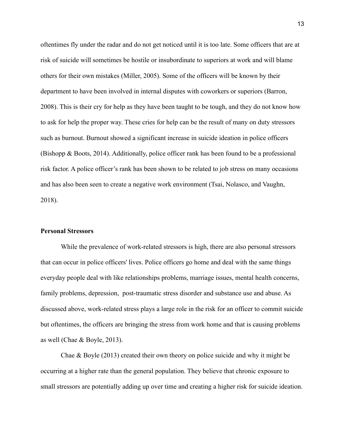oftentimes fly under the radar and do not get noticed until it is too late. Some officers that are at risk of suicide will sometimes be hostile or insubordinate to superiors at work and will blame others for their own mistakes (Miller, 2005). Some of the officers will be known by their department to have been involved in internal disputes with coworkers or superiors (Barron, 2008). This is their cry for help as they have been taught to be tough, and they do not know how to ask for help the proper way. These cries for help can be the result of many on duty stressors such as burnout. Burnout showed a significant increase in suicide ideation in police officers (Bishopp & Boots, 2014). Additionally, police officer rank has been found to be a professional risk factor. A police officer's rank has been shown to be related to job stress on many occasions and has also been seen to create a negative work environment (Tsai, Nolasco, and Vaughn, 2018).

### **Personal Stressors**

While the prevalence of work-related stressors is high, there are also personal stressors that can occur in police officers' lives. Police officers go home and deal with the same things everyday people deal with like relationships problems, marriage issues, mental health concerns, family problems, depression, post-traumatic stress disorder and substance use and abuse. As discussed above, work-related stress plays a large role in the risk for an officer to commit suicide but oftentimes, the officers are bringing the stress from work home and that is causing problems as well (Chae & Boyle, 2013).

Chae & Boyle (2013) created their own theory on police suicide and why it might be occurring at a higher rate than the general population. They believe that chronic exposure to small stressors are potentially adding up over time and creating a higher risk for suicide ideation.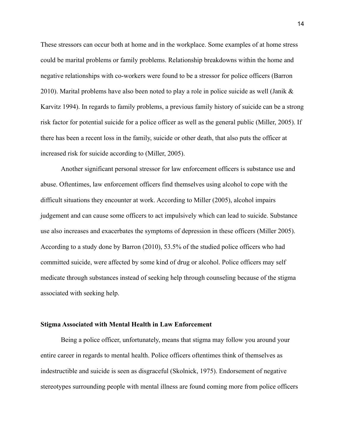These stressors can occur both at home and in the workplace. Some examples of at home stress could be marital problems or family problems. Relationship breakdowns within the home and negative relationships with co-workers were found to be a stressor for police officers (Barron 2010). Marital problems have also been noted to play a role in police suicide as well (Janik & Karvitz 1994). In regards to family problems, a previous family history of suicide can be a strong risk factor for potential suicide for a police officer as well as the general public (Miller, 2005). If there has been a recent loss in the family, suicide or other death, that also puts the officer at increased risk for suicide according to (Miller, 2005).

Another significant personal stressor for law enforcement officers is substance use and abuse. Oftentimes, law enforcement officers find themselves using alcohol to cope with the difficult situations they encounter at work. According to Miller (2005), alcohol impairs judgement and can cause some officers to act impulsively which can lead to suicide. Substance use also increases and exacerbates the symptoms of depression in these officers (Miller 2005). According to a study done by Barron (2010), 53.5% of the studied police officers who had committed suicide, were affected by some kind of drug or alcohol. Police officers may self medicate through substances instead of seeking help through counseling because of the stigma associated with seeking help.

#### **Stigma Associated with Mental Health in Law Enforcement**

Being a police officer, unfortunately, means that stigma may follow you around your entire career in regards to mental health. Police officers oftentimes think of themselves as indestructible and suicide is seen as disgraceful (Skolnick, 1975). Endorsement of negative stereotypes surrounding people with mental illness are found coming more from police officers

14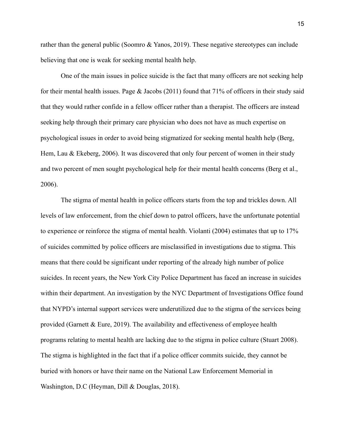rather than the general public (Soomro & Yanos, 2019). These negative stereotypes can include believing that one is weak for seeking mental health help.

One of the main issues in police suicide is the fact that many officers are not seeking help for their mental health issues. Page  $& Jacobs (2011)$  found that 71% of officers in their study said that they would rather confide in a fellow officer rather than a therapist. The officers are instead seeking help through their primary care physician who does not have as much expertise on psychological issues in order to avoid being stigmatized for seeking mental health help (Berg, Hem, Lau & Ekeberg, 2006). It was discovered that only four percent of women in their study and two percent of men sought psychological help for their mental health concerns (Berg et al., 2006).

The stigma of mental health in police officers starts from the top and trickles down. All levels of law enforcement, from the chief down to patrol officers, have the unfortunate potential to experience or reinforce the stigma of mental health. Violanti (2004) estimates that up to 17% of suicides committed by police officers are misclassified in investigations due to stigma. This means that there could be significant under reporting of the already high number of police suicides. In recent years, the New York City Police Department has faced an increase in suicides within their department. An investigation by the NYC Department of Investigations Office found that NYPD's internal support services were underutilized due to the stigma of the services being provided (Garnett & Eure, 2019). The availability and effectiveness of employee health programs relating to mental health are lacking due to the stigma in police culture (Stuart 2008). The stigma is highlighted in the fact that if a police officer commits suicide, they cannot be buried with honors or have their name on the National Law Enforcement Memorial in Washington, D.C (Heyman, Dill & Douglas, 2018).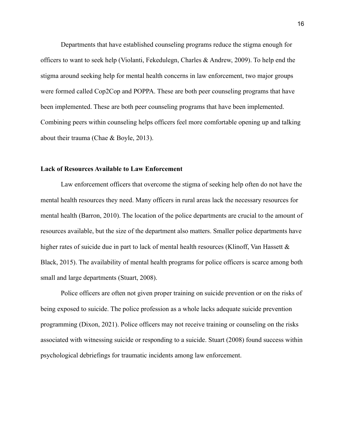Departments that have established counseling programs reduce the stigma enough for officers to want to seek help (Violanti, Fekedulegn, Charles & Andrew, 2009). To help end the stigma around seeking help for mental health concerns in law enforcement, two major groups were formed called Cop2Cop and POPPA. These are both peer counseling programs that have been implemented. These are both peer counseling programs that have been implemented. Combining peers within counseling helps officers feel more comfortable opening up and talking about their trauma (Chae & Boyle, 2013).

#### **Lack of Resources Available to Law Enforcement**

Law enforcement officers that overcome the stigma of seeking help often do not have the mental health resources they need. Many officers in rural areas lack the necessary resources for mental health (Barron, 2010). The location of the police departments are crucial to the amount of resources available, but the size of the department also matters. Smaller police departments have higher rates of suicide due in part to lack of mental health resources (Klinoff, Van Hassett & Black, 2015). The availability of mental health programs for police officers is scarce among both small and large departments (Stuart, 2008).

Police officers are often not given proper training on suicide prevention or on the risks of being exposed to suicide. The police profession as a whole lacks adequate suicide prevention programming (Dixon, 2021). Police officers may not receive training or counseling on the risks associated with witnessing suicide or responding to a suicide. Stuart (2008) found success within psychological debriefings for traumatic incidents among law enforcement.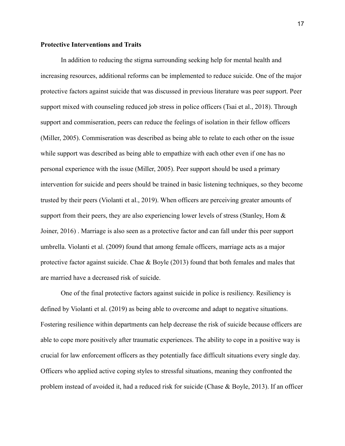# **Protective Interventions and Traits**

In addition to reducing the stigma surrounding seeking help for mental health and increasing resources, additional reforms can be implemented to reduce suicide. One of the major protective factors against suicide that was discussed in previous literature was peer support. Peer support mixed with counseling reduced job stress in police officers (Tsai et al., 2018). Through support and commiseration, peers can reduce the feelings of isolation in their fellow officers (Miller, 2005). Commiseration was described as being able to relate to each other on the issue while support was described as being able to empathize with each other even if one has no personal experience with the issue (Miller, 2005). Peer support should be used a primary intervention for suicide and peers should be trained in basic listening techniques, so they become trusted by their peers (Violanti et al., 2019). When officers are perceiving greater amounts of support from their peers, they are also experiencing lower levels of stress (Stanley, Hom & Joiner, 2016) . Marriage is also seen as a protective factor and can fall under this peer support umbrella. Violanti et al. (2009) found that among female officers, marriage acts as a major protective factor against suicide. Chae & Boyle (2013) found that both females and males that are married have a decreased risk of suicide.

One of the final protective factors against suicide in police is resiliency. Resiliency is defined by Violanti et al. (2019) as being able to overcome and adapt to negative situations. Fostering resilience within departments can help decrease the risk of suicide because officers are able to cope more positively after traumatic experiences. The ability to cope in a positive way is crucial for law enforcement officers as they potentially face difficult situations every single day. Officers who applied active coping styles to stressful situations, meaning they confronted the problem instead of avoided it, had a reduced risk for suicide (Chase & Boyle, 2013). If an officer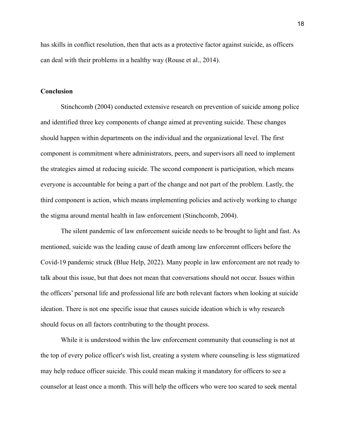has skills in conflict resolution, then that acts as a protective factor against suicide, as officers can deal with their problems in a healthy way (Rouse et al., 2014).

#### **Conclusion**

Stinchcomb (2004) conducted extensive research on prevention of suicide among police and identified three key components of change aimed at preventing suicide. These changes should happen within departments on the individual and the organizational level. The first component is commitment where administrators, peers, and supervisors all need to implement the strategies aimed at reducing suicide. The second component is participation, which means everyone is accountable for being a part of the change and not part of the problem. Lastly, the third component is action, which means implementing policies and actively working to change the stigma around mental health in law enforcement (Stinchcomb, 2004).

The silent pandemic of law enforcement suicide needs to be brought to light and fast. As mentioned, suicide was the leading cause of death among law enforcemnt officers before the Covid-19 pandemic struck (Blue Help, 2022). Many people in law enforcement are not ready to talk about this issue, but that does not mean that conversations should not occur. Issues within the officers' personal life and professional life are both relevant factors when looking at suicide ideation. There is not one specific issue that causes suicide ideation which is why research should focus on all factors contributing to the thought process.

While it is understood within the law enforcement community that counseling is not at the top of every police officer's wish list, creating a system where counseling is less stigmatized may help reduce officer suicide. This could mean making it mandatory for officers to see a counselor at least once a month. This will help the officers who were too scared to seek mental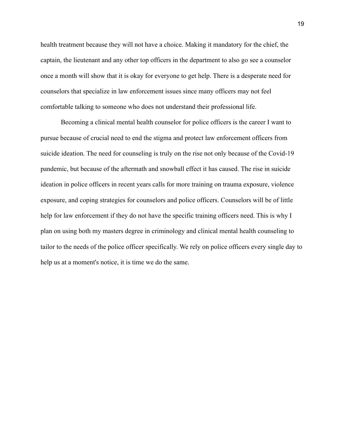health treatment because they will not have a choice. Making it mandatory for the chief, the captain, the lieutenant and any other top officers in the department to also go see a counselor once a month will show that it is okay for everyone to get help. There is a desperate need for counselors that specialize in law enforcement issues since many officers may not feel comfortable talking to someone who does not understand their professional life.

Becoming a clinical mental health counselor for police officers is the career I want to pursue because of crucial need to end the stigma and protect law enforcement officers from suicide ideation. The need for counseling is truly on the rise not only because of the Covid-19 pandemic, but because of the aftermath and snowball effect it has caused. The rise in suicide ideation in police officers in recent years calls for more training on trauma exposure, violence exposure, and coping strategies for counselors and police officers. Counselors will be of little help for law enforcement if they do not have the specific training officers need. This is why I plan on using both my masters degree in criminology and clinical mental health counseling to tailor to the needs of the police officer specifically. We rely on police officers every single day to help us at a moment's notice, it is time we do the same.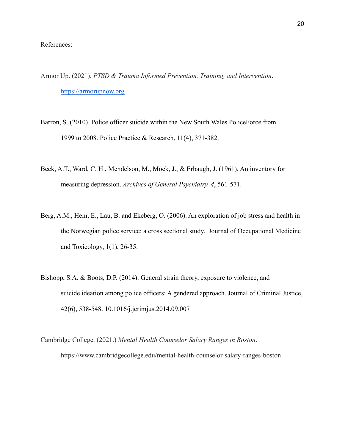References:

- Armor Up. (2021). *PTSD & Trauma Informed Prevention, Training, and Intervention*. <https://armorupnow.org>
- Barron, S. (2010). Police officer suicide within the New South Wales PoliceForce from 1999 to 2008. Police Practice & Research, 11(4), 371-382.
- Beck, A.T., Ward, C. H., Mendelson, M., Mock, J., & Erbaugh, J. (1961). An inventory for measuring depression. *Archives of General Psychiatry, 4*, 561-571.
- Berg, A.M., Hem, E., Lau, B. and Ekeberg, O. (2006). An exploration of job stress and health in the Norwegian police service: a cross sectional study. Journal of Occupational Medicine and Toxicology, 1(1), 26-35.
- Bishopp, S.A. & Boots, D.P. (2014). General strain theory, exposure to violence, and suicide ideation among police officers: A gendered approach. Journal of Criminal Justice, 42(6), 538-548. 10.1016/j.jcrimjus.2014.09.007
- Cambridge College. (2021.) *Mental Health Counselor Salary Ranges in Boston*. https://www.cambridgecollege.edu/mental-health-counselor-salary-ranges-boston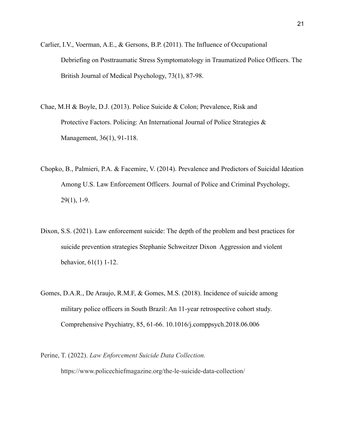- Carlier, I.V., Voerman, A.E., & Gersons, B.P. (2011). The Influence of Occupational Debriefing on Posttraumatic Stress Symptomatology in Traumatized Police Officers. The British Journal of Medical Psychology, 73(1), 87-98.
- Chae, M.H & Boyle, D.J. (2013). Police Suicide & Colon; Prevalence, Risk and Protective Factors. Policing: An International Journal of Police Strategies & Management, 36(1), 91-118.
- Chopko, B., Palmieri, P.A. & Facemire, V. (2014). Prevalence and Predictors of Suicidal Ideation Among U.S. Law Enforcement Officers. Journal of Police and Criminal Psychology, 29(1), 1-9.
- Dixon, S.S. (2021). Law enforcement suicide: The depth of the problem and best practices for suicide prevention strategies Stephanie Schweitzer Dixon Aggression and violent behavior, 61(1) 1-12.
- Gomes, D.A.R., De Araujo, R.M.F, & Gomes, M.S. (2018). Incidence of suicide among military police officers in South Brazil: An 11-year retrospective cohort study. Comprehensive Psychiatry, 85, 61-66. 10.1016/j.comppsych.2018.06.006
- Perine, T. (2022). *Law Enforcement Suicide Data Collection.* https://www.policechiefmagazine.org/the-le-suicide-data-collection/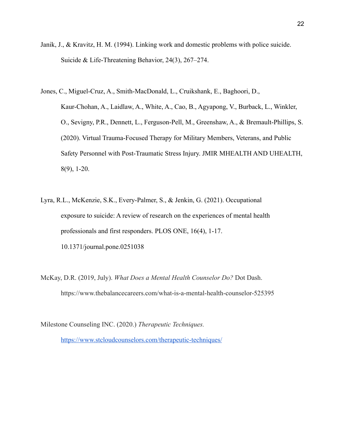- Janik, J., & Kravitz, H. M. (1994). Linking work and domestic problems with police suicide. Suicide & Life-Threatening Behavior, 24(3), 267–274.
- Jones, C., Miguel-Cruz, A., Smith-MacDonald, L., Cruikshank, E., Baghoori, D., Kaur-Chohan, A., Laidlaw, A., White, A., Cao, B., Agyapong, V., Burback, L., Winkler, O., Sevigny, P.R., Dennett, L., Ferguson-Pell, M., Greenshaw, A., & Bremault-Phillips, S. (2020). Virtual Trauma-Focused Therapy for Military Members, Veterans, and Public Safety Personnel with Post-Traumatic Stress Injury. JMIR MHEALTH AND UHEALTH, 8(9), 1-20.
- Lyra, R.L., McKenzie, S.K., Every-Palmer, S., & Jenkin, G. (2021). Occupational exposure to suicide: A review of research on the experiences of mental health professionals and first responders. PLOS ONE, 16(4), 1-17. 10.1371/journal.pone.0251038
- McKay, D.R. (2019, July). *What Does a Mental Health Counselor Do?* Dot Dash. https://www.thebalancecareers.com/what-is-a-mental-health-counselor-525395
- Milestone Counseling INC. (2020.) *Therapeutic Techniques.* <https://www.stcloudcounselors.com/therapeutic-techniques/>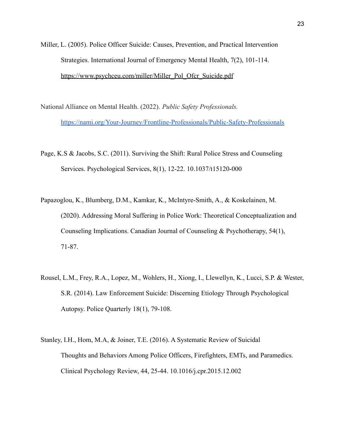- Miller, L. (2005). Police Officer Suicide: Causes, Prevention, and Practical Intervention Strategies. International Journal of Emergency Mental Health, 7(2), 101-114. [https://www.psychceu.com/miller/Miller\\_Pol\\_Ofcr\\_Suicide.pdf](https://www.psychceu.com/miller/Miller_Pol_Ofcr_Suicide.pdf)
- National Alliance on Mental Health. (2022). *Public Safety Professionals.* <https://nami.org/Your-Journey/Frontline-Professionals/Public-Safety-Professionals>
- Page, K.S & Jacobs, S.C. (2011). Surviving the Shift: Rural Police Stress and Counseling Services. Psychological Services, 8(1), 12-22. 10.1037/t15120-000
- Papazoglou, K., Blumberg, D.M., Kamkar, K., McIntyre-Smith, A., & Koskelainen, M. (2020). Addressing Moral Suffering in Police Work: Theoretical Conceptualization and Counseling Implications. Canadian Journal of Counseling & Psychotherapy, 54(1), 71-87.
- Rousel, L.M., Frey, R.A., Lopez, M., Wohlers, H., Xiong, I., Llewellyn, K., Lucci, S.P. & Wester, S.R. (2014). Law Enforcement Suicide: Discerning Etiology Through Psychological Autopsy. Police Quarterly 18(1), 79-108.
- Stanley, I.H., Hom, M.A, & Joiner, T.E. (2016). A Systematic Review of Suicidal Thoughts and Behaviors Among Police Officers, Firefighters, EMTs, and Paramedics. Clinical Psychology Review, 44, 25-44. 10.1016/j.cpr.2015.12.002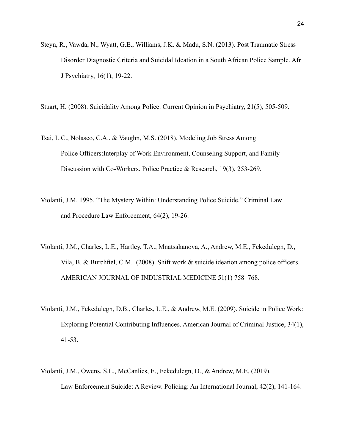Steyn, R., Vawda, N., Wyatt, G.E., Williams, J.K. & Madu, S.N. (2013). Post Traumatic Stress Disorder Diagnostic Criteria and Suicidal Ideation in a South African Police Sample. Afr J Psychiatry, 16(1), 19-22.

Stuart, H. (2008). Suicidality Among Police. Current Opinion in Psychiatry, 21(5), 505-509.

- Tsai, L.C., Nolasco, C.A., & Vaughn, M.S. (2018). Modeling Job Stress Among Police Officers:Interplay of Work Environment, Counseling Support, and Family Discussion with Co-Workers. Police Practice & Research, 19(3), 253-269.
- Violanti, J.M. 1995. "The Mystery Within: Understanding Police Suicide." Criminal Law and Procedure Law Enforcement, 64(2), 19-26.
- Violanti, J.M., Charles, L.E., Hartley, T.A., Mnatsakanova, A., Andrew, M.E., Fekedulegn, D., Vila, B. & Burchfiel, C.M. (2008). Shift work & suicide ideation among police officers. AMERICAN JOURNAL OF INDUSTRIAL MEDICINE 51(1) 758–768.
- Violanti, J.M., Fekedulegn, D.B., Charles, L.E., & Andrew, M.E. (2009). Suicide in Police Work: Exploring Potential Contributing Influences. American Journal of Criminal Justice, 34(1), 41-53.
- Violanti, J.M., Owens, S.L., McCanlies, E., Fekedulegn, D., & Andrew, M.E. (2019). Law Enforcement Suicide: A Review. Policing: An International Journal, 42(2), 141-164.